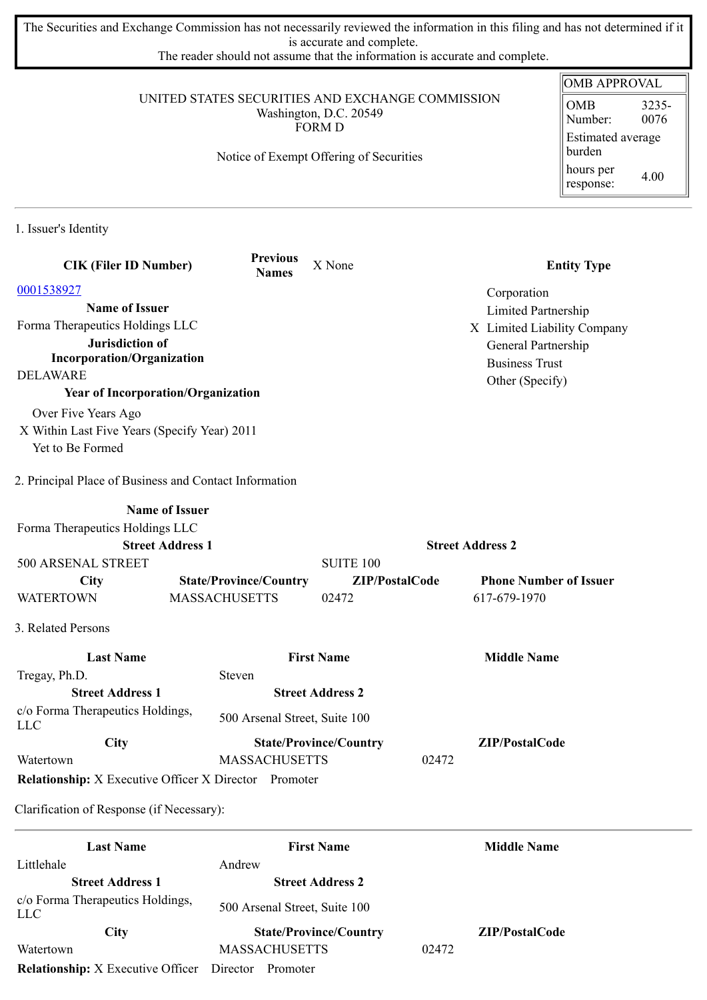The Securities and Exchange Commission has not necessarily reviewed the information in this filing and has not determined if it is accurate and complete.

The reader should not assume that the information is accurate and complete.

|                                                                  |                                                              |                               |                               | <b>OMB APPROVAL</b>                      |
|------------------------------------------------------------------|--------------------------------------------------------------|-------------------------------|-------------------------------|------------------------------------------|
| UNITED STATES SECURITIES AND EXCHANGE COMMISSION                 | <b>OMB</b><br>3235-<br>0076<br>Number:<br>Estimated average  |                               |                               |                                          |
|                                                                  | Notice of Exempt Offering of Securities                      |                               |                               | burden<br>hours per<br>4.00<br>response: |
| 1. Issuer's Identity                                             |                                                              |                               |                               |                                          |
| <b>CIK (Filer ID Number)</b>                                     | <b>Previous</b><br><b>Names</b>                              | X None                        |                               | <b>Entity Type</b>                       |
| 0001538927                                                       |                                                              |                               | Corporation                   |                                          |
| <b>Name of Issuer</b>                                            |                                                              |                               | <b>Limited Partnership</b>    |                                          |
| Forma Therapeutics Holdings LLC                                  |                                                              |                               | X Limited Liability Company   |                                          |
| Jurisdiction of                                                  |                                                              |                               | General Partnership           |                                          |
| <b>Incorporation/Organization</b>                                |                                                              |                               | <b>Business Trust</b>         |                                          |
| <b>DELAWARE</b>                                                  |                                                              |                               | Other (Specify)               |                                          |
|                                                                  | <b>Year of Incorporation/Organization</b>                    |                               |                               |                                          |
| Over Five Years Ago                                              |                                                              |                               |                               |                                          |
| X Within Last Five Years (Specify Year) 2011<br>Yet to Be Formed |                                                              |                               |                               |                                          |
|                                                                  |                                                              |                               |                               |                                          |
| 2. Principal Place of Business and Contact Information           |                                                              |                               |                               |                                          |
|                                                                  | <b>Name of Issuer</b>                                        |                               |                               |                                          |
| Forma Therapeutics Holdings LLC                                  |                                                              |                               |                               |                                          |
|                                                                  | <b>Street Address 1</b>                                      |                               | <b>Street Address 2</b>       |                                          |
| 500 ARSENAL STREET                                               |                                                              | <b>SUITE 100</b>              |                               |                                          |
| <b>City</b>                                                      | <b>State/Province/Country</b>                                | ZIP/PostalCode                | <b>Phone Number of Issuer</b> |                                          |
| <b>WATERTOWN</b>                                                 | <b>MASSACHUSETTS</b>                                         | 02472                         | 617-679-1970                  |                                          |
| 3. Related Persons                                               |                                                              |                               |                               |                                          |
| <b>Last Name</b>                                                 |                                                              | <b>First Name</b>             | <b>Middle Name</b>            |                                          |
| Tregay, Ph.D.                                                    | Steven                                                       |                               |                               |                                          |
| <b>Street Address 1</b>                                          |                                                              | <b>Street Address 2</b>       |                               |                                          |
| c/o Forma Therapeutics Holdings,<br><b>LLC</b>                   | 500 Arsenal Street, Suite 100                                |                               |                               |                                          |
| City                                                             |                                                              | <b>State/Province/Country</b> | ZIP/PostalCode                |                                          |
| Watertown                                                        | <b>MASSACHUSETTS</b>                                         |                               | 02472                         |                                          |
|                                                                  | <b>Relationship:</b> X Executive Officer X Director Promoter |                               |                               |                                          |
| Clarification of Response (if Necessary):                        |                                                              |                               |                               |                                          |
|                                                                  |                                                              |                               |                               |                                          |

| <b>Last Name</b>                         | <b>First Name</b>             | <b>Middle Name</b>    |
|------------------------------------------|-------------------------------|-----------------------|
| Littlehale                               | Andrew                        |                       |
| <b>Street Address 1</b>                  | <b>Street Address 2</b>       |                       |
| c/o Forma Therapeutics Holdings,<br>LLC  | 500 Arsenal Street, Suite 100 |                       |
| <b>City</b>                              | <b>State/Province/Country</b> | <b>ZIP/PostalCode</b> |
| Watertown                                | <b>MASSACHUSETTS</b>          | 02472                 |
| <b>Relationship:</b> X Executive Officer | Director<br>Promoter          |                       |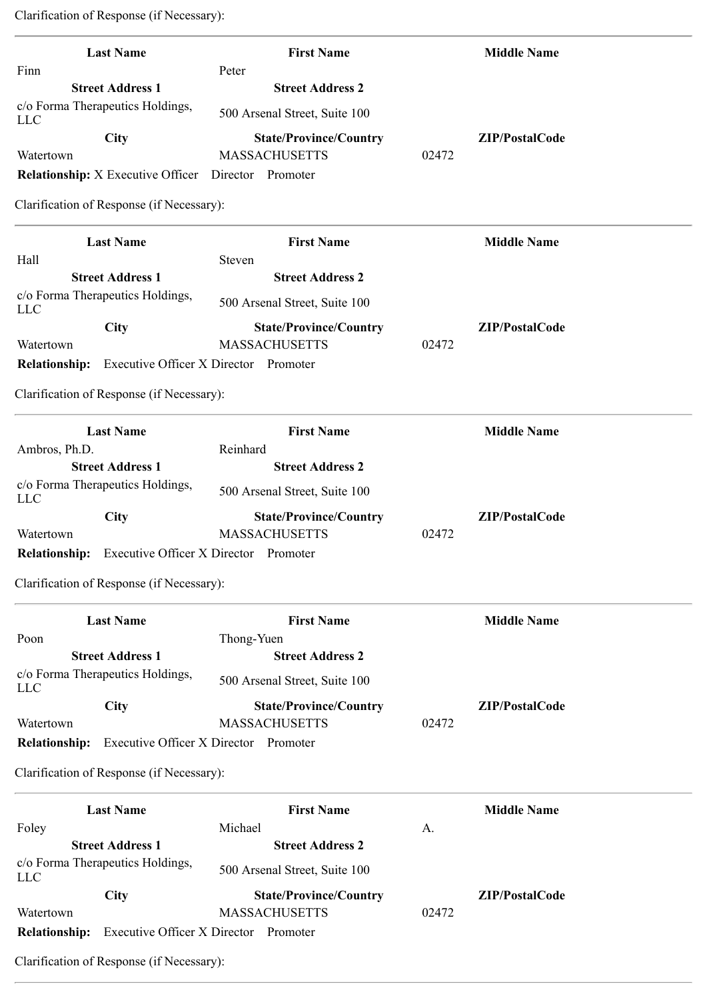Clarification of Response (if Necessary):

| <b>Last Name</b>                                                                    | <b>First Name</b>                                     |       | <b>Middle Name</b> |
|-------------------------------------------------------------------------------------|-------------------------------------------------------|-------|--------------------|
| Finn                                                                                | Peter                                                 |       |                    |
| <b>Street Address 1</b>                                                             | <b>Street Address 2</b>                               |       |                    |
| c/o Forma Therapeutics Holdings,<br><b>LLC</b>                                      | 500 Arsenal Street, Suite 100                         |       |                    |
| <b>City</b>                                                                         | <b>State/Province/Country</b>                         |       | ZIP/PostalCode     |
| Watertown                                                                           | <b>MASSACHUSETTS</b>                                  | 02472 |                    |
| <b>Relationship:</b> X Executive Officer                                            | Director Promoter                                     |       |                    |
| Clarification of Response (if Necessary):                                           |                                                       |       |                    |
| <b>Last Name</b>                                                                    | <b>First Name</b>                                     |       | <b>Middle Name</b> |
| Hall                                                                                | Steven                                                |       |                    |
| <b>Street Address 1</b>                                                             | <b>Street Address 2</b>                               |       |                    |
| c/o Forma Therapeutics Holdings,<br><b>LLC</b>                                      | 500 Arsenal Street, Suite 100                         |       |                    |
| City                                                                                | <b>State/Province/Country</b>                         |       | ZIP/PostalCode     |
| Watertown                                                                           | <b>MASSACHUSETTS</b>                                  | 02472 |                    |
| <b>Relationship:</b>                                                                | Executive Officer X Director Promoter                 |       |                    |
| Clarification of Response (if Necessary):                                           |                                                       |       |                    |
| <b>Last Name</b>                                                                    | <b>First Name</b>                                     |       | <b>Middle Name</b> |
| Ambros, Ph.D.                                                                       | Reinhard                                              |       |                    |
| <b>Street Address 1</b>                                                             | <b>Street Address 2</b>                               |       |                    |
| c/o Forma Therapeutics Holdings,<br><b>LLC</b>                                      | 500 Arsenal Street, Suite 100                         |       |                    |
| City                                                                                | <b>State/Province/Country</b>                         |       | ZIP/PostalCode     |
| Watertown                                                                           | <b>MASSACHUSETTS</b>                                  | 02472 |                    |
| <b>Relationship:</b>                                                                | Executive Officer X Director Promoter                 |       |                    |
| Clarification of Response (if Necessary):                                           |                                                       |       |                    |
| <b>Last Name</b>                                                                    | <b>First Name</b>                                     |       | <b>Middle Name</b> |
| Poon                                                                                | Thong-Yuen                                            |       |                    |
| <b>Street Address 1</b>                                                             | <b>Street Address 2</b>                               |       |                    |
|                                                                                     |                                                       |       |                    |
|                                                                                     | 500 Arsenal Street, Suite 100                         |       |                    |
|                                                                                     |                                                       |       |                    |
| <b>City</b>                                                                         | <b>State/Province/Country</b><br><b>MASSACHUSETTS</b> | 02472 | ZIP/PostalCode     |
| c/o Forma Therapeutics Holdings,<br><b>LLC</b><br>Watertown<br><b>Relationship:</b> | Executive Officer X Director Promoter                 |       |                    |
| Clarification of Response (if Necessary):                                           |                                                       |       |                    |

|                      | <b>Last Name</b>                 | <b>First Name</b>             |       | <b>Middle Name</b>    |
|----------------------|----------------------------------|-------------------------------|-------|-----------------------|
| Foley                |                                  | Michael                       | A.    |                       |
|                      | <b>Street Address 1</b>          | <b>Street Address 2</b>       |       |                       |
| LLC                  | c/o Forma Therapeutics Holdings, | 500 Arsenal Street, Suite 100 |       |                       |
|                      | <b>City</b>                      | <b>State/Province/Country</b> |       | <b>ZIP/PostalCode</b> |
| Watertown            |                                  | <b>MASSACHUSETTS</b>          | 02472 |                       |
| <b>Relationship:</b> | Executive Officer X Director     | Promoter                      |       |                       |

Clarification of Response (if Necessary):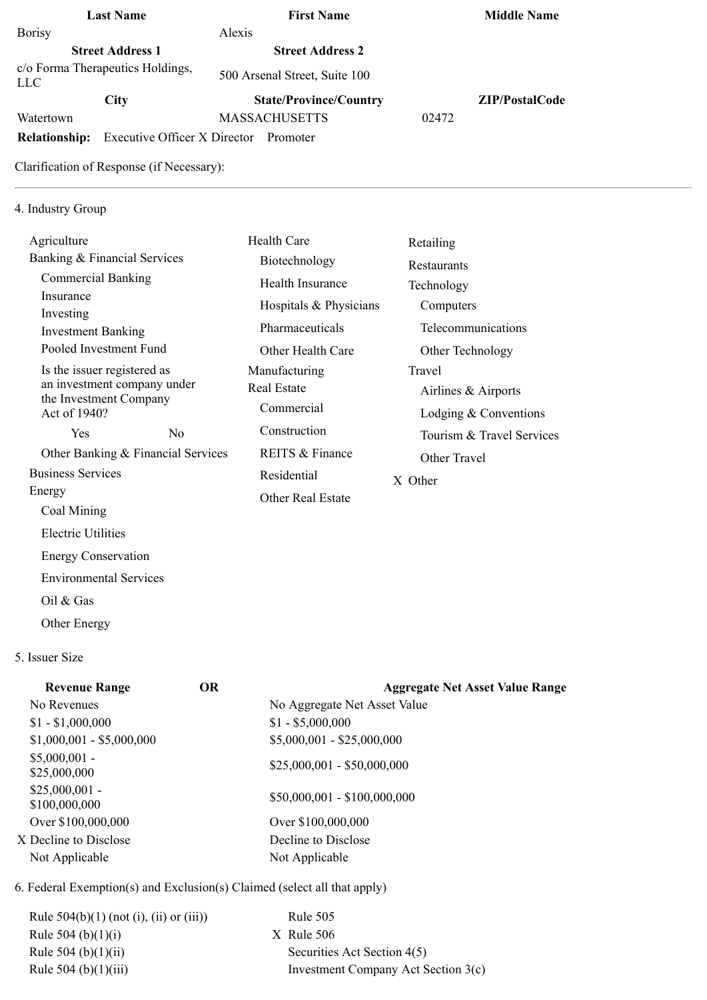| <b>Last Name</b>                               | <b>First Name</b>                        |       | <b>Middle Name</b>    |
|------------------------------------------------|------------------------------------------|-------|-----------------------|
| <b>Borisy</b>                                  | Alexis                                   |       |                       |
| <b>Street Address 1</b>                        | <b>Street Address 2</b>                  |       |                       |
| c/o Forma Therapeutics Holdings,<br><b>LLC</b> | 500 Arsenal Street, Suite 100            |       |                       |
| <b>City</b>                                    | <b>State/Province/Country</b>            |       | <b>ZIP/PostalCode</b> |
| Watertown                                      | <b>MASSACHUSETTS</b>                     | 02472 |                       |
| <b>Relationship:</b>                           | Executive Officer X Director<br>Promoter |       |                       |
| Clarification of Response (if Necessary):      |                                          |       |                       |

## 4. Industry Group

| Agriculture                                           |                                    | <b>Health Care</b>       | Retailing                 |
|-------------------------------------------------------|------------------------------------|--------------------------|---------------------------|
| Banking & Financial Services                          |                                    | Biotechnology            | Restaurants               |
| <b>Commercial Banking</b>                             |                                    | Health Insurance         | Technology                |
| Insurance                                             |                                    | Hospitals & Physicians   | Computers                 |
| Investing<br><b>Investment Banking</b>                |                                    | Pharmaceuticals          | Telecommunications        |
| Pooled Investment Fund                                |                                    | Other Health Care        | Other Technology          |
| Is the issuer registered as                           |                                    | Manufacturing            | Travel                    |
| an investment company under<br>the Investment Company |                                    | Real Estate              | Airlines & Airports       |
| Act of 1940?                                          |                                    | Commercial               | Lodging $&$ Conventions   |
| Yes                                                   | No.                                | Construction             | Tourism & Travel Services |
|                                                       | Other Banking & Financial Services | REITS & Finance          | Other Travel              |
| <b>Business Services</b>                              |                                    | Residential              | X Other                   |
| Energy                                                |                                    | <b>Other Real Estate</b> |                           |
| Coal Mining                                           |                                    |                          |                           |

5. Issuer Size

Oil & Gas

Other Energy

Electric Utilities

 Energy Conservation Environmental Services

| <b>OR</b> | <b>Aggregate Net Asset Value Range</b> |
|-----------|----------------------------------------|
|           | No Aggregate Net Asset Value           |
|           | $$1 - $5,000,000$                      |
|           | $$5,000,001 - $25,000,000$             |
|           | $$25,000,001 - $50,000,000$            |
|           | $$50,000,001 - $100,000,000$           |
|           | Over \$100,000,000                     |
|           | Decline to Disclose                    |
|           | Not Applicable                         |
|           |                                        |

6. Federal Exemption(s) and Exclusion(s) Claimed (select all that apply)

| Rule $504(b)(1)$ (not (i), (ii) or (iii)) | Rule 505                            |
|-------------------------------------------|-------------------------------------|
| Rule 504 (b) $(1)(i)$                     | $X$ Rule 506                        |
| Rule 504 (b) $(1)(ii)$                    | Securities Act Section 4(5)         |
| Rule 504 (b) $(1)(iii)$                   | Investment Company Act Section 3(c) |
|                                           |                                     |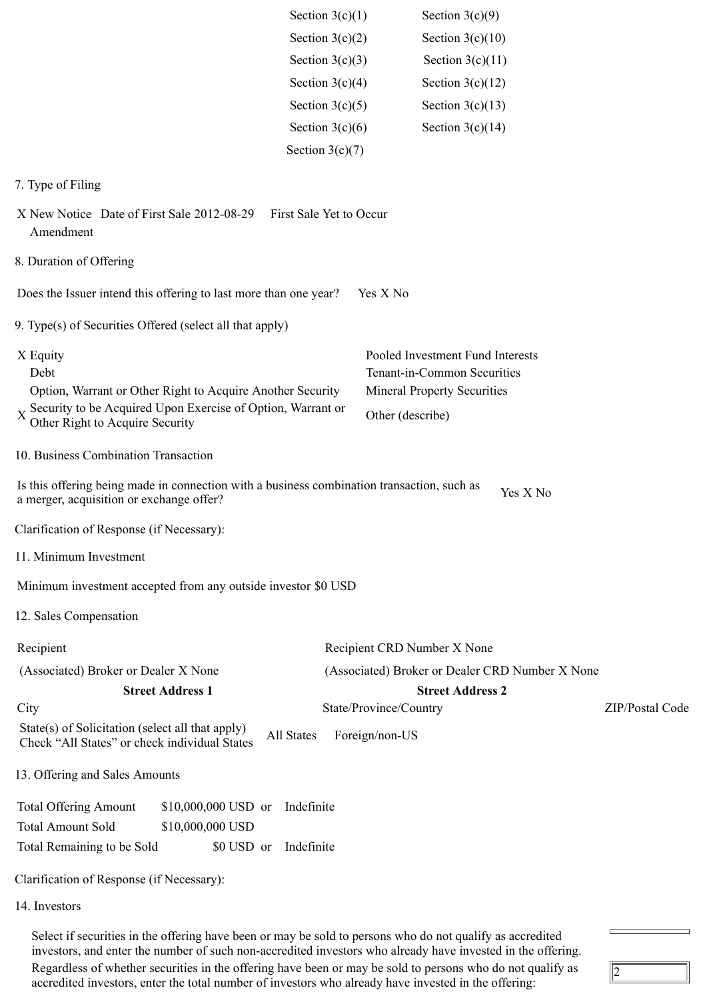|                                                                                                                                        | Section $3(c)(1)$       | Section $3(c)(9)$                               |                 |
|----------------------------------------------------------------------------------------------------------------------------------------|-------------------------|-------------------------------------------------|-----------------|
|                                                                                                                                        | Section $3(c)(2)$       | Section $3(c)(10)$                              |                 |
|                                                                                                                                        | Section $3(c)(3)$       | Section $3(c)(11)$                              |                 |
|                                                                                                                                        | Section $3(c)(4)$       | Section $3(c)(12)$                              |                 |
|                                                                                                                                        | Section $3(c)(5)$       | Section $3(c)(13)$                              |                 |
|                                                                                                                                        | Section $3(c)(6)$       | Section $3(c)(14)$                              |                 |
|                                                                                                                                        | Section $3(c)(7)$       |                                                 |                 |
| 7. Type of Filing                                                                                                                      |                         |                                                 |                 |
| X New Notice Date of First Sale 2012-08-29<br>Amendment                                                                                | First Sale Yet to Occur |                                                 |                 |
| 8. Duration of Offering                                                                                                                |                         |                                                 |                 |
| Does the Issuer intend this offering to last more than one year?                                                                       |                         | Yes X No                                        |                 |
| 9. Type(s) of Securities Offered (select all that apply)                                                                               |                         |                                                 |                 |
| X Equity                                                                                                                               |                         | Pooled Investment Fund Interests                |                 |
| Debt                                                                                                                                   |                         | Tenant-in-Common Securities                     |                 |
| Option, Warrant or Other Right to Acquire Another Security<br>Security to be Acquired Upon Exercise of Option, Warrant or              |                         | <b>Mineral Property Securities</b>              |                 |
| Other Right to Acquire Security                                                                                                        |                         | Other (describe)                                |                 |
| 10. Business Combination Transaction                                                                                                   |                         |                                                 |                 |
| Is this offering being made in connection with a business combination transaction, such as<br>a merger, acquisition or exchange offer? |                         | Yes X No                                        |                 |
| Clarification of Response (if Necessary):                                                                                              |                         |                                                 |                 |
| 11. Minimum Investment                                                                                                                 |                         |                                                 |                 |
| Minimum investment accepted from any outside investor \$0 USD                                                                          |                         |                                                 |                 |
| 12. Sales Compensation                                                                                                                 |                         |                                                 |                 |
| Recipient                                                                                                                              |                         | Recipient CRD Number X None                     |                 |
| (Associated) Broker or Dealer X None                                                                                                   |                         | (Associated) Broker or Dealer CRD Number X None |                 |
| <b>Street Address 1</b>                                                                                                                |                         | <b>Street Address 2</b>                         |                 |
| City                                                                                                                                   |                         | State/Province/Country                          | ZIP/Postal Code |
| State(s) of Solicitation (select all that apply)<br>All States<br>Check "All States" or check individual States                        |                         | Foreign/non-US                                  |                 |
| 13. Offering and Sales Amounts                                                                                                         |                         |                                                 |                 |
| <b>Total Offering Amount</b><br>$$10,000,000$ USD or Indefinite                                                                        |                         |                                                 |                 |
| <b>Total Amount Sold</b><br>\$10,000,000 USD                                                                                           |                         |                                                 |                 |
| Total Remaining to be Sold<br>\$0 USD or                                                                                               | Indefinite              |                                                 |                 |
| Clarification of Response (if Necessary):                                                                                              |                         |                                                 |                 |
| 14. Investors                                                                                                                          |                         |                                                 |                 |
|                                                                                                                                        |                         |                                                 |                 |

Select if securities in the offering have been or may be sold to persons who do not qualify as accredited investors, and enter the number of such non-accredited investors who already have invested in the offering. Regardless of whether securities in the offering have been or may be sold to persons who do not qualify as accredited investors, enter the total number of investors who already have invested in the offering:

 $\sqrt{2}$